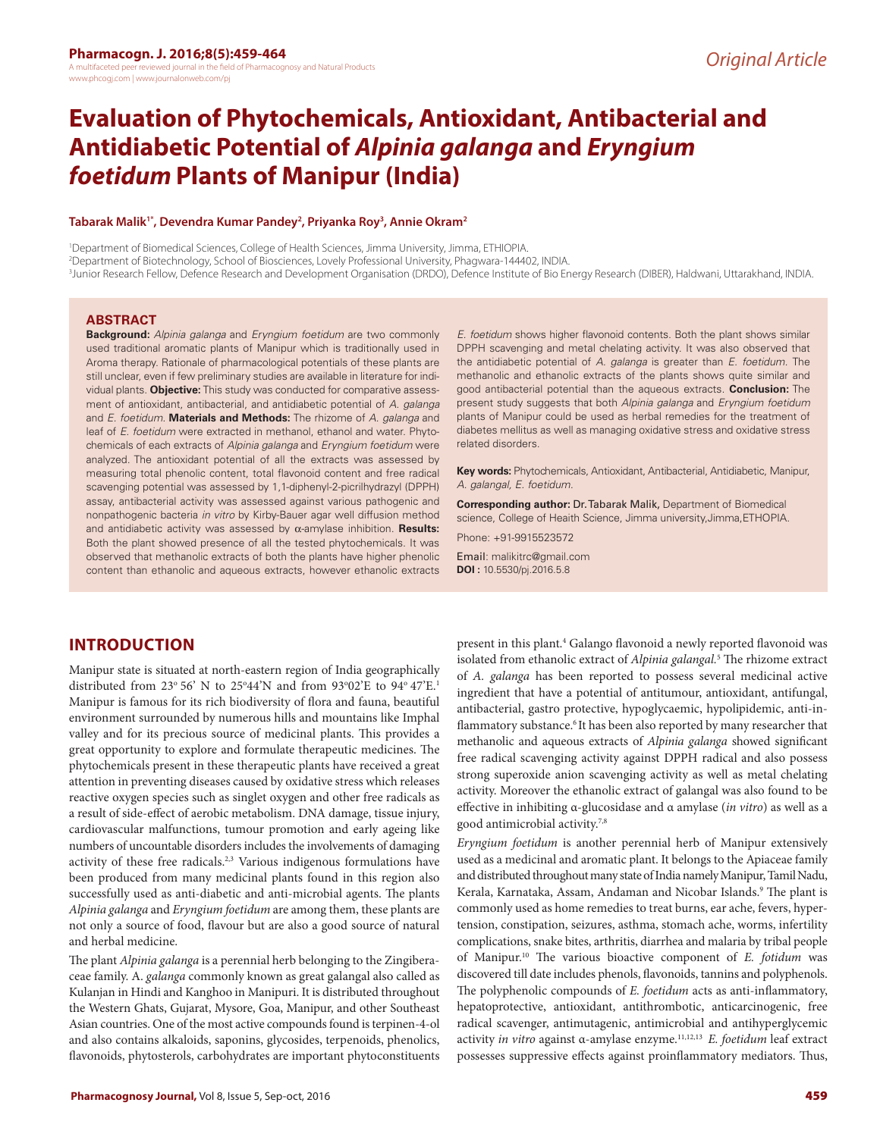# **Evaluation of Phytochemicals, Antioxidant, Antibacterial and Antidiabetic Potential of** *Alpinia galanga* **and** *Eryngium foetidum* **Plants of Manipur (India)**

#### **Tabarak Malik1\*, Devendra Kumar Pandey2 , Priyanka Roy3 , Annie Okram2**

1 Department of Biomedical Sciences, College of Health Sciences, Jimma University, Jimma, ETHIOPIA. 2 Department of Biotechnology, School of Biosciences, Lovely Professional University, Phagwara-144402, INDIA. 3 Junior Research Fellow, Defence Research and Development Organisation (DRDO), Defence Institute of Bio Energy Research (DIBER), Haldwani, Uttarakhand, INDIA.

#### **ABSTRACT**

**Background:** *Alpinia galanga* and *Eryngium foetidum* are two commonly used traditional aromatic plants of Manipur which is traditionally used in Aroma therapy. Rationale of pharmacological potentials of these plants are still unclear, even if few preliminary studies are available in literature for individual plants. **Objective:** This study was conducted for comparative assessment of antioxidant, antibacterial, and antidiabetic potential of *A. galanga*  and *E. foetidum.* **Materials and Methods:** The rhizome of *A. galanga* and leaf of *E. foetidum* were extracted in methanol, ethanol and water. Phytochemicals of each extracts of *Alpinia galanga* and *Eryngium foetidum* were analyzed. The antioxidant potential of all the extracts was assessed by measuring total phenolic content, total flavonoid content and free radical scavenging potential was assessed by 1,1-diphenyl-2-picrilhydrazyl (DPPH) assay, antibacterial activity was assessed against various pathogenic and nonpathogenic bacteria *in vitro* by Kirby-Bauer agar well diffusion method and antidiabetic activity was assessed by α-amylase inhibition. **Results:** Both the plant showed presence of all the tested phytochemicals. It was observed that methanolic extracts of both the plants have higher phenolic content than ethanolic and aqueous extracts, however ethanolic extracts

**INTRODUCTION**

Manipur state is situated at north-eastern region of India geographically distributed from 23° 56' N to 25°44'N and from 93°02'E to 94° 47'E.<sup>1</sup> Manipur is famous for its rich biodiversity of flora and fauna, beautiful environment surrounded by numerous hills and mountains like Imphal valley and for its precious source of medicinal plants. This provides a great opportunity to explore and formulate therapeutic medicines. The phytochemicals present in these therapeutic plants have received a great attention in preventing diseases caused by oxidative stress which releases reactive oxygen species such as singlet oxygen and other free radicals as a result of side-effect of aerobic metabolism. DNA damage, tissue injury, cardiovascular malfunctions, tumour promotion and early ageing like numbers of uncountable disorders includes the involvements of damaging activity of these free radicals.<sup>2,3</sup> Various indigenous formulations have been produced from many medicinal plants found in this region also successfully used as anti-diabetic and anti-microbial agents. The plants *Alpinia galanga* and *Eryngium foetidum* are among them, these plants are not only a source of food, flavour but are also a good source of natural and herbal medicine.

The plant *Alpinia galanga* is a perennial herb belonging to the Zingiberaceae family. A. *galanga* commonly known as great galangal also called as Kulanjan in Hindi and Kanghoo in Manipuri. It is distributed throughout the Western Ghats, Gujarat, Mysore, Goa, Manipur, and other Southeast Asian countries. One of the most active compounds found is terpinen-4-ol and also contains alkaloids, saponins, glycosides, terpenoids, phenolics, flavonoids, phytosterols, carbohydrates are important phytoconstituents

*E. foetidum* shows higher flavonoid contents. Both the plant shows similar DPPH scavenging and metal chelating activity. It was also observed that the antidiabetic potential of *A. galanga* is greater than *E. foetidum.* The methanolic and ethanolic extracts of the plants shows quite similar and good antibacterial potential than the aqueous extracts. **Conclusion:** The present study suggests that both *Alpinia galanga* and *Eryngium foetidum* plants of Manipur could be used as herbal remedies for the treatment of diabetes mellitus as well as managing oxidative stress and oxidative stress related disorders.

**Key words:** Phytochemicals, Antioxidant, Antibacterial, Antidiabetic, Manipur, *A. galangal, E. foetidum.*

**Corresponding author:** Dr. Tabarak Malik, Department of Biomedical science, College of Heaith Science, Jimma university,Jimma,ETHOPIA.

Phone: +91-9915523572

Email: malikitrc@gmail.com **DOI :** 10.5530/pj.2016.5.8

present in this plant.<sup>4</sup> Galango flavonoid a newly reported flavonoid was isolated from ethanolic extract of *Alpinia galangal.*<sup>5</sup> The rhizome extract of *A. galanga* has been reported to possess several medicinal active ingredient that have a potential of antitumour, antioxidant, antifungal, antibacterial, gastro protective, hypoglycaemic, hypolipidemic, anti-inflammatory substance.<sup>6</sup> It has been also reported by many researcher that methanolic and aqueous extracts of *Alpinia galanga* showed significant free radical scavenging activity against DPPH radical and also possess strong superoxide anion scavenging activity as well as metal chelating activity. Moreover the ethanolic extract of galangal was also found to be effective in inhibiting α-glucosidase and α amylase (*in vitro*) as well as a good antimicrobial activity.7,8

*Eryngium foetidum* is another perennial herb of Manipur extensively used as a medicinal and aromatic plant. It belongs to the Apiaceae family and distributed throughout many state of India namely Manipur, Tamil Nadu, Kerala, Karnataka, Assam, Andaman and Nicobar Islands.<sup>9</sup> The plant is commonly used as home remedies to treat burns, ear ache, fevers, hypertension, constipation, seizures, asthma, stomach ache, worms, infertility complications, snake bites, arthritis, diarrhea and malaria by tribal people of Manipur.10 The various bioactive component of *E. fotidum* was discovered till date includes phenols, flavonoids, tannins and polyphenols. The polyphenolic compounds of *E. foetidum* acts as anti-inflammatory, hepatoprotective, antioxidant, antithrombotic, anticarcinogenic, free radical scavenger, antimutagenic, antimicrobial and antihyperglycemic activity *in vitro* against α-amylase enzyme.11,12,13 *E. foetidum* leaf extract possesses suppressive effects against proinflammatory mediators. Thus,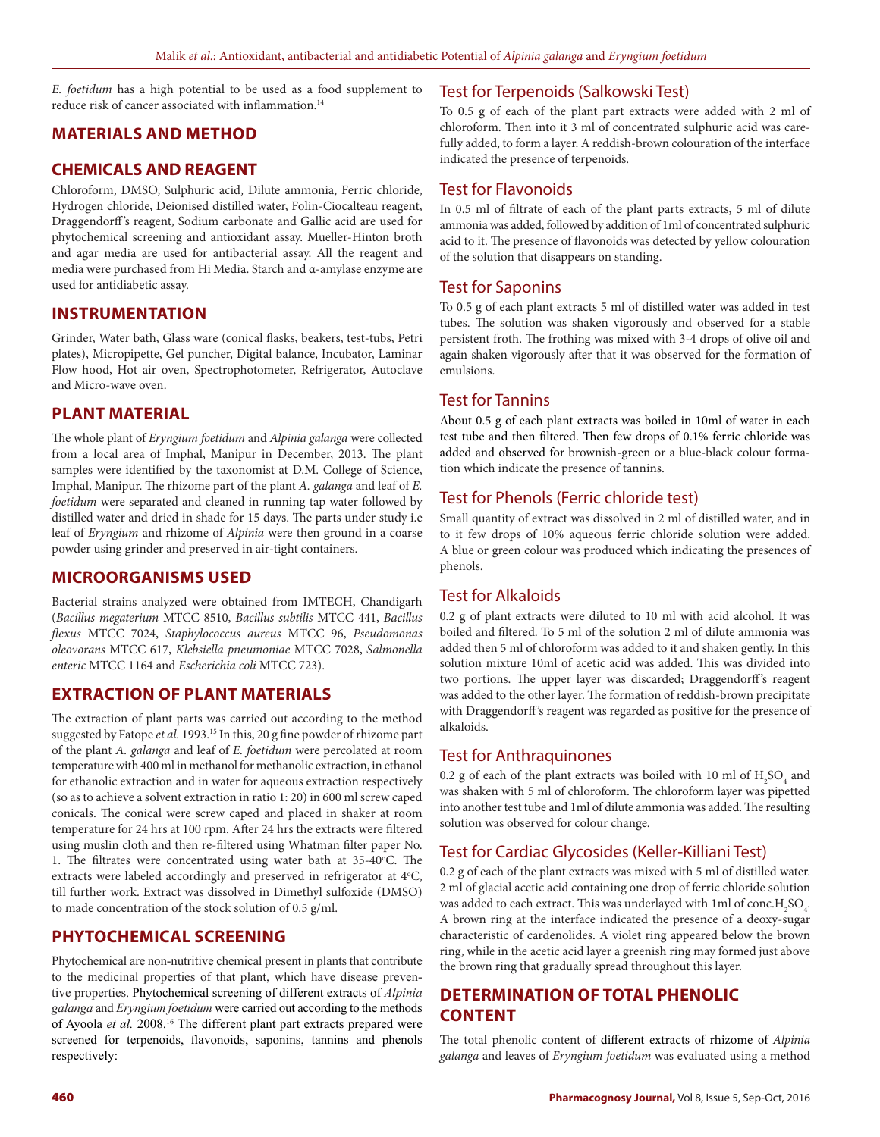*E. foetidum* has a high potential to be used as a food supplement to reduce risk of cancer associated with inflammation.<sup>14</sup>

## **MATERIALS AND METHOD**

#### **CHEMICALS AND REAGENT**

Chloroform, DMSO, Sulphuric acid, Dilute ammonia, Ferric chloride, Hydrogen chloride, Deionised distilled water, Folin-Ciocalteau reagent, Draggendorff 's reagent, Sodium carbonate and Gallic acid are used for phytochemical screening and antioxidant assay. Mueller-Hinton broth and agar media are used for antibacterial assay. All the reagent and media were purchased from Hi Media. Starch and α-amylase enzyme are used for antidiabetic assay.

### **INSTRUMENTATION**

Grinder, Water bath, Glass ware (conical flasks, beakers, test-tubs, Petri plates), Micropipette, Gel puncher, Digital balance, Incubator, Laminar Flow hood, Hot air oven, Spectrophotometer, Refrigerator, Autoclave and Micro-wave oven.

## **PLANT MATERIAL**

The whole plant of *Eryngium foetidum* and *Alpinia galanga* were collected from a local area of Imphal, Manipur in December, 2013. The plant samples were identified by the taxonomist at D.M. College of Science, Imphal, Manipur. The rhizome part of the plant *A. galanga* and leaf of *E. foetidum* were separated and cleaned in running tap water followed by distilled water and dried in shade for 15 days. The parts under study i.e leaf of *Eryngium* and rhizome of *Alpinia* were then ground in a coarse powder using grinder and preserved in air-tight containers.

### **MICROORGANISMS USED**

Bacterial strains analyzed were obtained from IMTECH, Chandigarh (*Bacillus megaterium* MTCC 8510, *Bacillus subtilis* MTCC 441, *Bacillus flexus* MTCC 7024, *Staphylococcus aureus* MTCC 96, *Pseudomonas oleovorans* MTCC 617, *Klebsiella pneumoniae* MTCC 7028, *Salmonella enteric* MTCC 1164 and *Escherichia coli* MTCC 723).

## **EXTRACTION OF PLANT MATERIALS**

The extraction of plant parts was carried out according to the method suggested by Fatope *et al.* 1993.15 In this, 20 g fine powder of rhizome part of the plant *A. galanga* and leaf of *E. foetidum* were percolated at room temperature with 400 ml in methanol for methanolic extraction, in ethanol for ethanolic extraction and in water for aqueous extraction respectively (so as to achieve a solvent extraction in ratio 1: 20) in 600 ml screw caped conicals. The conical were screw caped and placed in shaker at room temperature for 24 hrs at 100 rpm. After 24 hrs the extracts were filtered using muslin cloth and then re-filtered using Whatman filter paper No. 1. The filtrates were concentrated using water bath at  $35-40^{\circ}$ C. The extracts were labeled accordingly and preserved in refrigerator at 4°C, till further work. Extract was dissolved in Dimethyl sulfoxide (DMSO) to made concentration of the stock solution of 0.5 g/ml.

## **PHYTOCHEMICAL SCREENING**

Phytochemical are non-nutritive chemical present in plants that contribute to the medicinal properties of that plant, which have disease preventive properties. Phytochemical screening of different extracts of *Alpinia galanga* and *Eryngium foetidum* were carried out according to the methods of Ayoola et al. 2008.<sup>16</sup> The different plant part extracts prepared were screened for terpenoids, flavonoids, saponins, tannins and phenols respectively:

#### Test for Terpenoids (Salkowski Test)

To 0.5 g of each of the plant part extracts were added with 2 ml of chloroform. Then into it 3 ml of concentrated sulphuric acid was carefully added, to form a layer. A reddish-brown colouration of the interface indicated the presence of terpenoids.

#### Test for Flavonoids

In 0.5 ml of filtrate of each of the plant parts extracts, 5 ml of dilute ammonia was added, followed by addition of 1ml of concentrated sulphuric acid to it. The presence of flavonoids was detected by yellow colouration of the solution that disappears on standing.

#### Test for Saponins

To 0.5 g of each plant extracts 5 ml of distilled water was added in test tubes. The solution was shaken vigorously and observed for a stable persistent froth. The frothing was mixed with 3-4 drops of olive oil and again shaken vigorously after that it was observed for the formation of emulsions.

## Test for Tannins

About 0.5 g of each plant extracts was boiled in 10ml of water in each test tube and then filtered. Then few drops of 0.1% ferric chloride was added and observed for brownish-green or a blue-black colour formation which indicate the presence of tannins.

## Test for Phenols (Ferric chloride test)

Small quantity of extract was dissolved in 2 ml of distilled water, and in to it few drops of 10% aqueous ferric chloride solution were added. A blue or green colour was produced which indicating the presences of phenols.

#### Test for Alkaloids

0.2 g of plant extracts were diluted to 10 ml with acid alcohol. It was boiled and filtered. To 5 ml of the solution 2 ml of dilute ammonia was added then 5 ml of chloroform was added to it and shaken gently. In this solution mixture 10ml of acetic acid was added. This was divided into two portions. The upper layer was discarded; Draggendorff's reagent was added to the other layer. The formation of reddish-brown precipitate with Draggendorff 's reagent was regarded as positive for the presence of alkaloids.

#### Test for Anthraquinones

0.2 g of each of the plant extracts was boiled with 10 ml of  $\rm{H_2SO_4}$  and was shaken with 5 ml of chloroform. The chloroform layer was pipetted into another test tube and 1ml of dilute ammonia was added. The resulting solution was observed for colour change.

## Test for Cardiac Glycosides (Keller-Killiani Test)

0.2 g of each of the plant extracts was mixed with 5 ml of distilled water. 2 ml of glacial acetic acid containing one drop of ferric chloride solution was added to each extract. This was underlayed with 1ml of  $\text{conc.} \text{H}_2 \text{SO}_4$ . A brown ring at the interface indicated the presence of a deoxy-sugar characteristic of cardenolides. A violet ring appeared below the brown ring, while in the acetic acid layer a greenish ring may formed just above the brown ring that gradually spread throughout this layer.

## **DETERMINATION OF TOTAL PHENOLIC CONTENT**

The total phenolic content of different extracts of rhizome of *Alpinia galanga* and leaves of *Eryngium foetidum* was evaluated using a method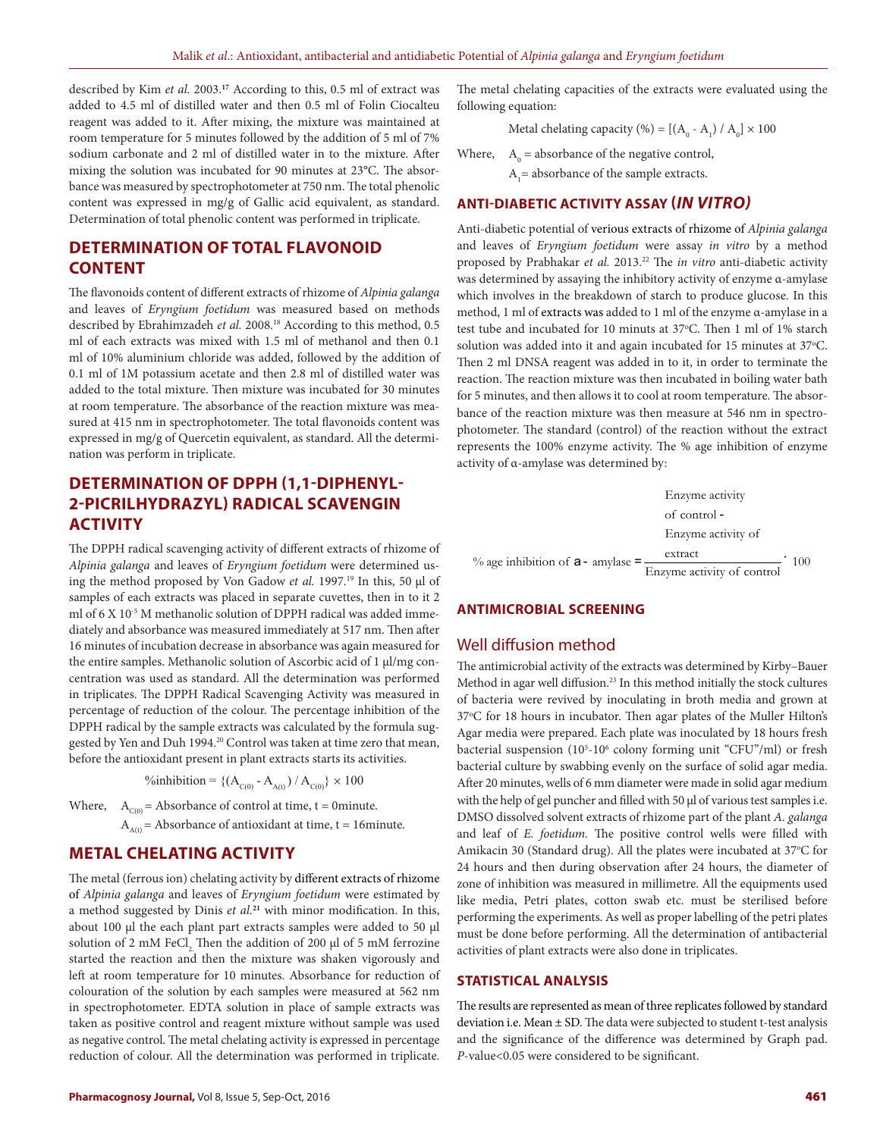described by Kim *et al.* 2003.**<sup>17</sup>** According to this, 0.5 ml of extract was added to 4.5 ml of distilled water and then 0.5 ml of Folin Ciocalteu reagent was added to it. After mixing, the mixture was maintained at room temperature for 5 minutes followed by the addition of 5 ml of 7% sodium carbonate and 2 ml of distilled water in to the mixture. After mixing the solution was incubated for 90 minutes at 23°C. The absorbance was measured by spectrophotometer at 750 nm. The total phenolic content was expressed in mg/g of Gallic acid equivalent, as standard. Determination of total phenolic content was performed in triplicate.

## **DETERMINATION OF TOTAL FLAVONOID CONTENT**

The flavonoids content of different extracts of rhizome of *Alpinia galanga*  and leaves of *Eryngium foetidum* was measured based on methods described by Ebrahimzadeh et al. 2008.<sup>18</sup> According to this method, 0.5 ml of each extracts was mixed with 1.5 ml of methanol and then 0.1 ml of 10% aluminium chloride was added, followed by the addition of 0.1 ml of 1M potassium acetate and then 2.8 ml of distilled water was added to the total mixture. Then mixture was incubated for 30 minutes at room temperature. The absorbance of the reaction mixture was measured at 415 nm in spectrophotometer. The total flavonoids content was expressed in mg/g of Quercetin equivalent, as standard. All the determination was perform in triplicate.

## **DETERMINATION OF DPPH (1,1-DIPHENYL-2-PICRILHYDRAZYL) RADICAL SCAVENGIN ACTIVITY**

The DPPH radical scavenging activity of different extracts of rhizome of *Alpinia galanga* and leaves of *Eryngium foetidum* were determined using the method proposed by Von Gadow *et al.* 1997.19 In this, 50 μl of samples of each extracts was placed in separate cuvettes, then in to it 2 ml of 6 X 10-5 M methanolic solution of DPPH radical was added immediately and absorbance was measured immediately at 517 nm. Then after 16 minutes of incubation decrease in absorbance was again measured for the entire samples. Methanolic solution of Ascorbic acid of 1 μl/mg concentration was used as standard. All the determination was performed in triplicates. The DPPH Radical Scavenging Activity was measured in percentage of reduction of the colour. The percentage inhibition of the DPPH radical by the sample extracts was calculated by the formula suggested by Yen and Duh 1994.<sup>20</sup> Control was taken at time zero that mean, before the antioxidant present in plant extracts starts its activities.

%inhibition = { $(A_{C(0)} - A_{A(1)}) / A_{C(0)}$ } × 100

Where,  $A_{C(0)} =$  Absorbance of control at time, t = 0minute.

 $A_{A(t)}$  = Absorbance of antioxidant at time, t = 16minute.

## **METAL CHELATING ACTIVITY**

The metal (ferrous ion) chelating activity by different extracts of rhizome of *Alpinia galanga* and leaves of *Eryngium foetidum* were estimated by a method suggested by Dinis *et al.***<sup>21</sup>** with minor modification. In this, about 100 µl the each plant part extracts samples were added to 50 µl solution of 2 mM FeCl, Then the addition of 200  $\mu$ l of 5 mM ferrozine started the reaction and then the mixture was shaken vigorously and left at room temperature for 10 minutes. Absorbance for reduction of colouration of the solution by each samples were measured at 562 nm in spectrophotometer. EDTA solution in place of sample extracts was taken as positive control and reagent mixture without sample was used as negative control. The metal chelating activity is expressed in percentage reduction of colour. All the determination was performed in triplicate.

The metal chelating capacities of the extracts were evaluated using the following equation:

Metal chelating capacity (%) = [( $A_0$  -  $A_1$ ) /  $A_0$ ]  $\times$  100

Where,  $A_0$  = absorbance of the negative control,

 $A<sub>1</sub>$  = absorbance of the sample extracts.

#### **ANTI-DIABETIC ACTIVITY ASSAY (***IN VITRO)*

Anti-diabetic potential of verious extracts of rhizome of *Alpinia galanga*  and leaves of *Eryngium foetidum* were assay *in vitro* by a method proposed by Prabhakar *et al.* 2013.22 The *in vitro* anti-diabetic activity was determined by assaying the inhibitory activity of enzyme α-amylase which involves in the breakdown of starch to produce glucose. In this method, 1 ml of extracts was added to 1 ml of the enzyme α-amylase in a test tube and incubated for 10 minuts at 37°C. Then 1 ml of 1% starch solution was added into it and again incubated for 15 minutes at 37°C. Then 2 ml DNSA reagent was added in to it, in order to terminate the reaction. The reaction mixture was then incubated in boiling water bath for 5 minutes, and then allows it to cool at room temperature. The absorbance of the reaction mixture was then measure at 546 nm in spectrophotometer. The standard (control) of the reaction without the extract represents the 100% enzyme activity. The % age inhibition of enzyme activity of α-amylase was determined by:

Enzyme activity of control - Enzyme activity of % age inhibition of  $a - amylase = \frac{extract}{Enzyme activity of control}$  100

## **ANTIMICROBIAL SCREENING**

#### Well diffusion method

The antimicrobial activity of the extracts was determined by Kirby–Bauer Method in agar well diffusion.23 In this method initially the stock cultures of bacteria were revived by inoculating in broth media and grown at 37°C for 18 hours in incubator. Then agar plates of the Muller Hilton's Agar media were prepared. Each plate was inoculated by 18 hours fresh bacterial suspension (10<sup>5</sup>-10<sup>6</sup> colony forming unit "CFU"/ml) or fresh bacterial culture by swabbing evenly on the surface of solid agar media. After 20 minutes, wells of 6 mm diameter were made in solid agar medium with the help of gel puncher and filled with 50 µl of various test samples i.e. DMSO dissolved solvent extracts of rhizome part of the plant *A. galanga*  and leaf of *E. foetidum.* The positive control wells were filled with Amikacin 30 (Standard drug). All the plates were incubated at 37°C for 24 hours and then during observation after 24 hours, the diameter of zone of inhibition was measured in millimetre. All the equipments used like media, Petri plates, cotton swab etc. must be sterilised before performing the experiments. As well as proper labelling of the petri plates must be done before performing. All the determination of antibacterial activities of plant extracts were also done in triplicates.

#### **STATISTICAL ANALYSIS**

The results are represented as mean of three replicates followed by standard deviation i.e. Mean ± SD. The data were subjected to student t-test analysis and the significance of the difference was determined by Graph pad. *P*-value<0.05 were considered to be significant.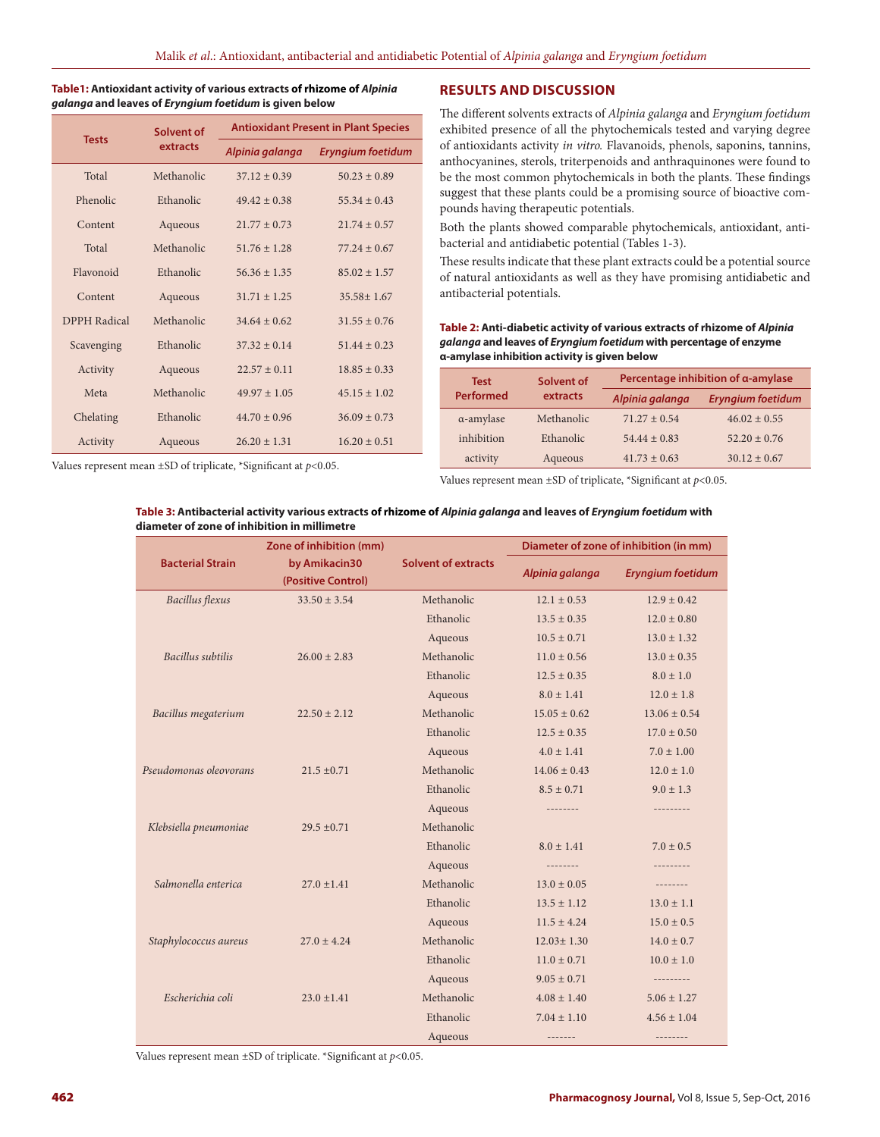| Table1: Antioxidant activity of various extracts of rhizome of Alpinia |
|------------------------------------------------------------------------|
| galanga and leaves of Eryngium foetidum is given below                 |

| <b>Tests</b>        | Solvent of |                  | <b>Antioxidant Present in Plant Species</b> |  |
|---------------------|------------|------------------|---------------------------------------------|--|
|                     | extracts   | Alpinia galanga  | <b>Eryngium foetidum</b>                    |  |
| Total               | Methanolic | $37.12 + 0.39$   | $50.23 + 0.89$                              |  |
| Phenolic            | Ethanolic  | $49.42 + 0.38$   | $55.34 + 0.43$                              |  |
| Content             | Aqueous    | $21.77 + 0.73$   | $21.74 \pm 0.57$                            |  |
| Total               | Methanolic | $51.76 \pm 1.28$ | $77.24 \pm 0.67$                            |  |
| Flavonoid           | Ethanolic  | $56.36 + 1.35$   | $85.02 + 1.57$                              |  |
| Content             | Aqueous    | $31.71 + 1.25$   | $35.58 + 1.67$                              |  |
| <b>DPPH</b> Radical | Methanolic | $34.64 + 0.62$   | $31.55 + 0.76$                              |  |
| Scavenging          | Ethanolic  | $37.32 + 0.14$   | $51.44 + 0.23$                              |  |
| Activity            | Aqueous    | $22.57 + 0.11$   | $18.85 \pm 0.33$                            |  |
| Meta                | Methanolic | $49.97 + 1.05$   | $45.15 + 1.02$                              |  |
| Chelating           | Ethanolic  | $44.70 \pm 0.96$ | $36.09 + 0.73$                              |  |
| Activity            | Aqueous    | $26.20 + 1.31$   | $16.20 \pm 0.51$                            |  |

#### **RESULTS AND DISCUSSION**

The different solvents extracts of *Alpinia galanga* and *Eryngium foetidum*  exhibited presence of all the phytochemicals tested and varying degree of antioxidants activity *in vitro.* Flavanoids, phenols, saponins, tannins, anthocyanines, sterols, triterpenoids and anthraquinones were found to be the most common phytochemicals in both the plants. These findings suggest that these plants could be a promising source of bioactive compounds having therapeutic potentials.

Both the plants showed comparable phytochemicals, antioxidant, antibacterial and antidiabetic potential (Tables 1-3).

These results indicate that these plant extracts could be a potential source of natural antioxidants as well as they have promising antidiabetic and antibacterial potentials.

**Table 2: Anti-diabetic activity of various extracts of rhizome of** *Alpinia galanga* **and leaves of** *Eryngium foetidum* **with percentage of enzyme α-amylase inhibition activity is given below**

| <b>Test</b>       | Solvent of | Percentage inhibition of a-amylase |                          |  |
|-------------------|------------|------------------------------------|--------------------------|--|
| <b>Performed</b>  | extracts   | Alpinia galanga                    | <b>Eryngium foetidum</b> |  |
| $\alpha$ -amylase | Methanolic | $71.27 \pm 0.54$                   | $46.02 \pm 0.55$         |  |
| inhibition        | Ethanolic  | $54.44 \pm 0.83$                   | $52.20 \pm 0.76$         |  |
| activity          | Aqueous    | $41.73 \pm 0.63$                   | $30.12 \pm 0.67$         |  |

Values represent mean ±SD of triplicate, \*Significant at *p*<0.05.

Values represent mean ±SD of triplicate, \*Significant at *p*<0.05.

#### **Table 3: Antibacterial activity various extracts of rhizome of** *Alpinia galanga* **and leaves of** *Eryngium foetidum* **with diameter of zone of inhibition in millimetre**

|                         | Zone of inhibition (mm)<br>by Amikacin30<br>(Positive Control) | <b>Solvent of extracts</b> | Diameter of zone of inhibition (in mm) |                          |
|-------------------------|----------------------------------------------------------------|----------------------------|----------------------------------------|--------------------------|
| <b>Bacterial Strain</b> |                                                                |                            | Alpinia galanga                        | <b>Eryngium foetidum</b> |
| <b>Bacillus</b> flexus  | $33.50 \pm 3.54$                                               | Methanolic                 | $12.1 \pm 0.53$                        | $12.9 \pm 0.42$          |
|                         |                                                                | Ethanolic                  | $13.5 \pm 0.35$                        | $12.0 \pm 0.80$          |
|                         |                                                                | Aqueous                    | $10.5 \pm 0.71$                        | $13.0 \pm 1.32$          |
| Bacillus subtilis       | $26.00 \pm 2.83$                                               | Methanolic                 | $11.0 \pm 0.56$                        | $13.0 \pm 0.35$          |
|                         |                                                                | Ethanolic                  | $12.5 \pm 0.35$                        | $8.0 \pm 1.0$            |
|                         |                                                                | Aqueous                    | $8.0 \pm 1.41$                         | $12.0 \pm 1.8$           |
| Bacillus megaterium     | $22.50 \pm 2.12$                                               | Methanolic                 | $15.05 + 0.62$                         | $13.06 \pm 0.54$         |
|                         |                                                                | Ethanolic                  | $12.5 \pm 0.35$                        | $17.0 \pm 0.50$          |
|                         |                                                                | Aqueous                    | $4.0 \pm 1.41$                         | $7.0 \pm 1.00$           |
| Pseudomonas oleovorans  | $21.5 \pm 0.71$                                                | Methanolic                 | $14.06 \pm 0.43$                       | $12.0 \pm 1.0$           |
|                         |                                                                | Ethanolic                  | $8.5 \pm 0.71$                         | $9.0 \pm 1.3$            |
|                         |                                                                | Aqueous                    | --------                               | ---------                |
| Klebsiella pneumoniae   | $29.5 \pm 0.71$                                                | Methanolic                 |                                        |                          |
|                         |                                                                | Ethanolic                  | $8.0 \pm 1.41$                         | $7.0 \pm 0.5$            |
|                         |                                                                | Aqueous                    | --------                               | ---------                |
| Salmonella enterica     | $27.0 + 1.41$                                                  | Methanolic                 | $13.0 \pm 0.05$                        | --------                 |
|                         |                                                                | Ethanolic                  | $13.5 \pm 1.12$                        | $13.0 \pm 1.1$           |
|                         |                                                                | Aqueous                    | $11.5 \pm 4.24$                        | $15.0 \pm 0.5$           |
| Staphylococcus aureus   | $27.0 \pm 4.24$                                                | Methanolic                 | $12.03 \pm 1.30$                       | $14.0 \pm 0.7$           |
|                         |                                                                | Ethanolic                  | $11.0 \pm 0.71$                        | $10.0 \pm 1.0$           |
|                         |                                                                | Aqueous                    | $9.05 \pm 0.71$                        | ----------               |
| Escherichia coli        | $23.0 \pm 1.41$                                                | Methanolic                 | $4.08 \pm 1.40$                        | $5.06 \pm 1.27$          |
|                         |                                                                | Ethanolic                  | $7.04 \pm 1.10$                        | $4.56 \pm 1.04$          |
|                         |                                                                | Aqueous                    | -------                                | --------                 |

Values represent mean ±SD of triplicate. \*Significant at *p*<0.05.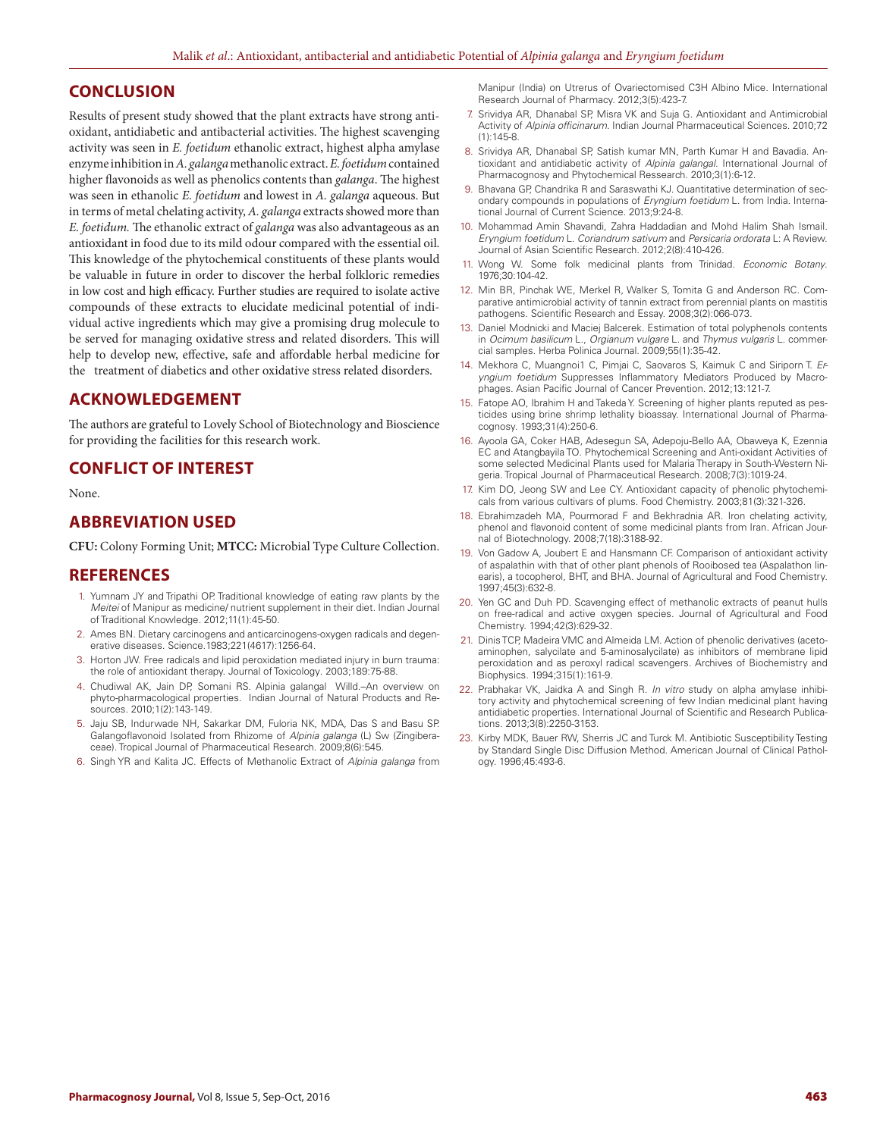## **CONCLUSION**

Results of present study showed that the plant extracts have strong antioxidant, antidiabetic and antibacterial activities. The highest scavenging activity was seen in *E. foetidum* ethanolic extract, highest alpha amylase enzyme inhibition in *A. galanga* methanolic extract. *E. foetidum* contained higher flavonoids as well as phenolics contents than *galanga*. The highest was seen in ethanolic *E. foetidum* and lowest in *A. galanga* aqueous. But in terms of metal chelating activity, *A. galanga* extracts showed more than *E. foetidum.* The ethanolic extract of *galanga* was also advantageous as an antioxidant in food due to its mild odour compared with the essential oil. This knowledge of the phytochemical constituents of these plants would be valuable in future in order to discover the herbal folkloric remedies in low cost and high efficacy. Further studies are required to isolate active compounds of these extracts to elucidate medicinal potential of individual active ingredients which may give a promising drug molecule to be served for managing oxidative stress and related disorders. This will help to develop new, effective, safe and affordable herbal medicine for the treatment of diabetics and other oxidative stress related disorders.

## **ACKNOWLEDGEMENT**

The authors are grateful to Lovely School of Biotechnology and Bioscience for providing the facilities for this research work.

#### **CONFLICT OF INTEREST**

None.

### **ABBREVIATION USED**

**CFU:** Colony Forming Unit; **MTCC:** Microbial Type Culture Collection.

#### **REFERENCES**

- 1. Yumnam JY and Tripathi OP. Traditional knowledge of eating raw plants by the *Meitei* of Manipur as medicine/ nutrient supplement in their diet. Indian Journal of Traditional Knowledge*.* 2012;11(1):45-50.
- 2. Ames BN. Dietary carcinogens and anticarcinogens-oxygen radicals and degenerative diseases. Science.1983;221(4617):1256-64.
- 3. Horton JW. Free radicals and lipid peroxidation mediated injury in burn trauma: the role of antioxidant therapy. Journal of Toxicology*.* 2003;189:75-88.
- 4. Chudiwal AK, Jain DP, Somani RS. Alpinia galangal Willd.–An overview on phyto-pharmacological properties. Indian Journal of Natural Products and Resources. 2010;1(2):143-149.
- 5. Jaju SB, Indurwade NH, Sakarkar DM, Fuloria NK, MDA, Das S and Basu SP. Galangoflavonoid Isolated from Rhizome of *Alpinia galanga* (L) Sw (Zingiberaceae). Tropical Journal of Pharmaceutical Research. 2009;8(6):545.
- 6. Singh YR and Kalita JC. Effects of Methanolic Extract of *Alpinia galanga* from

Manipur (India) on Utrerus of Ovariectomised C3H Albino Mice. International Research Journal of Pharmacy. 2012;3(5):423-7.

- 7. Srividya AR, Dhanabal SP, Misra VK and Suja G. Antioxidant and Antimicrobial Activity of *Alpinia officinarum*. Indian Journal Pharmaceutical Sciences. 2010;72 (1):145-8.
- 8. Srividya AR, Dhanabal SP, Satish kumar MN, Parth Kumar H and Bavadia. Antioxidant and antidiabetic activity of *Alpinia galangal*. International Journal of Pharmacognosy and Phytochemical Ressearch. 2010;3(1):6-12.
- 9. Bhavana GP, Chandrika R and Saraswathi KJ. Quantitative determination of secondary compounds in populations of *Eryngium foetidum* L. from India. International Journal of Current Science. 2013;9:24-8.
- 10. Mohammad Amin Shavandi, Zahra Haddadian and Mohd Halim Shah Ismail. *Eryngium foetidum* L. *Coriandrum sativum* and *Persicaria ordorata* L: A Review. Journal of Asian Scientific Research. 2012;2(8):410-426.
- 11. Wong W. Some folk medicinal plants from Trinidad. *Economic Botany*. 1976;30:104-42.
- 12. Min BR, Pinchak WE, Merkel R, Walker S, Tomita G and Anderson RC. Comparative antimicrobial activity of tannin extract from perennial plants on mastitis pathogens. Scientific Research and Essay. 2008;3(2):066-073.
- 13. Daniel Modnicki and Maciej Balcerek. Estimation of total polyphenols contents in *Ocimum basilicum* L., *Orgianum vulgare* L. and *Thymus vulgaris* L. commercial samples. Herba Polinica Journal. 2009;55(1):35-42.
- 14. Mekhora C, Muangnoi1 C, Pimjai C, Saovaros S, Kaimuk C and Siriporn T. *Eryngium foetidum* Suppresses Inflammatory Mediators Produced by Macrophages. Asian Pacific Journal of Cancer Prevention. 2012;13:121-7.
- 15. Fatope AO, Ibrahim H and Takeda Y. Screening of higher plants reputed as pesticides using brine shrimp lethality bioassay. International Journal of Pharmacognosy. 1993;31(4):250-6.
- 16. Ayoola GA, Coker HAB, Adesegun SA, Adepoju-Bello AA, Obaweya K, Ezennia EC and Atangbayila TO. Phytochemical Screening and Anti-oxidant Activities of some selected Medicinal Plants used for Malaria Therapy in South-Western Nigeria. Tropical Journal of Pharmaceutical Research. 2008;7(3):1019-24.
- 17. Kim DO, Jeong SW and Lee CY. Antioxidant capacity of phenolic phytochemicals from various cultivars of plums. Food Chemistry. 2003;81(3):321-326.
- 18. Ebrahimzadeh MA, Pourmorad F and Bekhradnia AR. Iron chelating activity, phenol and flavonoid content of some medicinal plants from Iran. African Journal of Biotechnology. 2008;7(18):3188-92.
- 19. Von Gadow A, Joubert E and Hansmann CF. Comparison of antioxidant activity of aspalathin with that of other plant phenols of Rooibosed tea (Aspalathon linearis), a tocopherol, BHT, and BHA. Journal of Agricultural and Food Chemistry. 1997;45(3):632-8.
- 20. Yen GC and Duh PD. Scavenging effect of methanolic extracts of peanut hulls on free-radical and active oxygen species. Journal of Agricultural and Food Chemistry. 1994;42(3):629-32.
- 21. Dinis TCP, Madeira VMC and Almeida LM. Action of phenolic derivatives (acetoaminophen, salycilate and 5-aminosalycilate) as inhibitors of membrane lipid peroxidation and as peroxyl radical scavengers. Archives of Biochemistry and Biophysics. 1994;315(1):161-9.
- 22. Prabhakar VK, Jaidka A and Singh R. *In vitro* study on alpha amylase inhibitory activity and phytochemical screening of few Indian medicinal plant having antidiabetic properties. International Journal of Scientific and Research Publications. 2013;3(8):2250-3153.
- 23. Kirby MDK, Bauer RW, Sherris JC and Turck M. Antibiotic Susceptibility Testing by Standard Single Disc Diffusion Method. American Journal of Clinical Pathology. 1996;45:493-6.